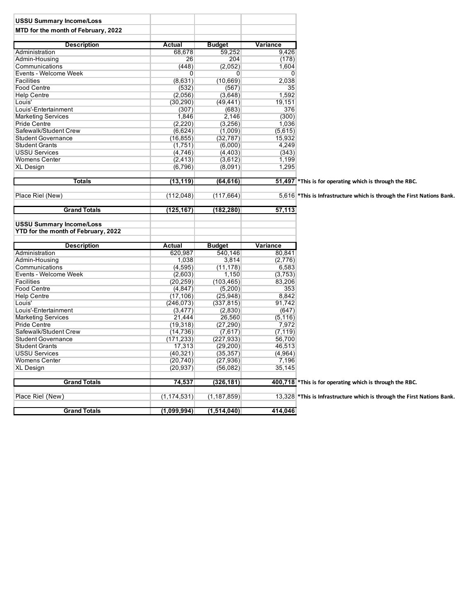| <b>USSU Summary Income/Loss</b>                    |                       |               |                |                                                                          |
|----------------------------------------------------|-----------------------|---------------|----------------|--------------------------------------------------------------------------|
| MTD for the month of February, 2022                |                       |               |                |                                                                          |
|                                                    |                       |               |                |                                                                          |
| <b>Description</b>                                 | <b>Actual</b>         | <b>Budget</b> | Variance       |                                                                          |
| Administration                                     | 68,678                | 59,252        | 9,426          |                                                                          |
| Admin-Housing                                      | 26                    | 204           | (178)          |                                                                          |
| Communications                                     | (448)                 | (2,052)       | 1,604          |                                                                          |
| Events - Welcome Week                              | $\overline{0}$        | 0             | $\overline{0}$ |                                                                          |
| <b>Facilities</b>                                  | (8,631)               | (10, 669)     | 2,038          |                                                                          |
| <b>Food Centre</b>                                 | (532)                 | (567)         | 35             |                                                                          |
| <b>Help Centre</b>                                 | (2,056)               | (3,648)       | 1,592          |                                                                          |
| Louis'                                             | (30, 290)             | (49, 441)     | 19,151         |                                                                          |
| Louis'-Entertainment                               | (307)                 | (683)         | 376            |                                                                          |
| <b>Marketing Services</b>                          | 1,846                 | 2,146         | (300)          |                                                                          |
| <b>Pride Centre</b>                                | (2,220)               | (3,256)       | 1,036          |                                                                          |
| Safewalk/Student Crew                              | (6,624)               | (1,009)       | (5,615)        |                                                                          |
| <b>Student Governance</b>                          | (16, 855)             | (32, 787)     | 15,932         |                                                                          |
| <b>Student Grants</b>                              | (1,751)               | (6,000)       | 4,249          |                                                                          |
| <b>USSU Services</b>                               | (4,746)               | (4, 403)      | (343)          |                                                                          |
| <b>Womens Center</b>                               | (2, 413)              | (3,612)       | 1,199          |                                                                          |
| <b>XL Design</b>                                   | (6,796)               | (8,091)       | 1,295          |                                                                          |
|                                                    |                       |               |                |                                                                          |
| <b>Totals</b>                                      | (13, 119)             | (64, 616)     |                | 51,497 *This is for operating which is through the RBC.                  |
|                                                    |                       |               |                |                                                                          |
| Place Riel (New)                                   | (112, 048)            | (117, 664)    |                | 5,616 * This is Infrastructure which is through the First Nations Bank.  |
| <b>Grand Totals</b>                                | (125,167)             | (182, 280)    | 57,113         |                                                                          |
|                                                    |                       |               |                |                                                                          |
| <b>USSU Summary Income/Loss</b>                    |                       |               |                |                                                                          |
| YTD for the month of February, 2022                |                       |               |                |                                                                          |
| <b>Description</b>                                 | <b>Actual</b>         | <b>Budget</b> | Variance       |                                                                          |
| Administration                                     | 620,987               | 540,146       | 80,841         |                                                                          |
| Admin-Housing                                      | 1,038                 | 3,814         | (2,776)        |                                                                          |
| Communications                                     | (4,595)               | (11, 178)     | 6,583          |                                                                          |
| Events - Welcome Week                              | (2,603)               | 1,150         | (3,753)        |                                                                          |
| Facilities                                         | (20, 259)             | (103, 465)    | 83,206         |                                                                          |
| Food Centre                                        |                       | (5,200)       | 353            |                                                                          |
| <b>Help Centre</b>                                 | (4, 847)<br>(17, 106) | (25, 948)     | 8,842          |                                                                          |
|                                                    |                       |               | 91,742         |                                                                          |
| Louis'                                             | (246, 073)            | (337, 815)    |                |                                                                          |
| Louis'-Entertainment                               | (3, 477)              | (2,830)       | (647)          |                                                                          |
| <b>Marketing Services</b>                          | 21,444                | 26,560        | (5, 116)       |                                                                          |
| <b>Pride Centre</b>                                | (19, 318)             | (27, 290)     | 7,972          |                                                                          |
| Safewalk/Student Crew<br><b>Student Governance</b> | (14, 736)             | (7,617)       | (7, 119)       |                                                                          |
|                                                    | (171,233)             | (227,933)     | 56,700         |                                                                          |
| <b>Student Grants</b>                              | 17,313                | (29,200)      | 46,513         |                                                                          |
| <b>USSU Services</b>                               | (40, 321)             | (35, 357)     | (4,964)        |                                                                          |
| <b>Womens Center</b>                               | (20, 740)             | (27, 936)     | 7,196          |                                                                          |
| <b>XL Design</b>                                   | (20, 937)             | (56,082)      | 35,145         |                                                                          |
| <b>Grand Totals</b>                                | 74,537                | (326, 181)    |                | 400,718 * This is for operating which is through the RBC.                |
|                                                    |                       |               |                |                                                                          |
| Place Riel (New)                                   | (1, 174, 531)         | (1, 187, 859) |                | 13,328 * This is Infrastructure which is through the First Nations Bank. |
|                                                    |                       |               |                |                                                                          |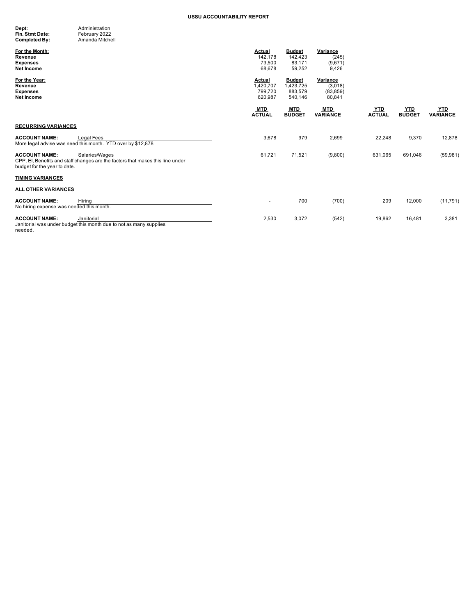| Dept:           | Administration  |
|-----------------|-----------------|
| Fin. Stmt Date: | February 2022   |
| Completed By:   | Amanda Mitchell |

| oompicted by.                                                    | <b><i><u>FULLOLING IVILLOLIUM</u></i></b>                                                        |                                                  |                                                  |                                            |                             |                             |                               |
|------------------------------------------------------------------|--------------------------------------------------------------------------------------------------|--------------------------------------------------|--------------------------------------------------|--------------------------------------------|-----------------------------|-----------------------------|-------------------------------|
| For the Month:<br>Revenue<br><b>Expenses</b><br>Net Income       |                                                                                                  | Actual<br>142,178<br>73,500<br>68,678            | <b>Budget</b><br>142.423<br>83.171<br>59,252     | Variance<br>(245)<br>(9,671)<br>9,426      |                             |                             |                               |
| For the Year:<br>Revenue<br><b>Expenses</b><br>Net Income        |                                                                                                  | <b>Actual</b><br>1,420,707<br>799,720<br>620,987 | <b>Budget</b><br>1,423,725<br>883,579<br>540,146 | Variance<br>(3,018)<br>(83, 859)<br>80,841 |                             |                             |                               |
|                                                                  |                                                                                                  | <b>MTD</b><br><b>ACTUAL</b>                      | <b>MTD</b><br><b>BUDGET</b>                      | <b>MTD</b><br><b>VARIANCE</b>              | <b>YTD</b><br><b>ACTUAL</b> | <b>YTD</b><br><b>BUDGET</b> | <b>YTD</b><br><b>VARIANCE</b> |
| <b>RECURRING VARIANCES</b>                                       |                                                                                                  |                                                  |                                                  |                                            |                             |                             |                               |
| <b>ACCOUNT NAME:</b>                                             | <b>Legal Fees</b><br>More legal advise was need this month. YTD over by \$12,878                 | 3,678                                            | 979                                              | 2,699                                      | 22,248                      | 9,370                       | 12,878                        |
| <b>ACCOUNT NAME:</b><br>budget for the year to date.             | Salaries/Wages<br>CPP, EI, Benefits and staff changes are the factors that makes this line under | 61,721                                           | 71,521                                           | (9,800)                                    | 631,065                     | 691.046                     | (59, 981)                     |
| <b>TIMING VARIANCES</b>                                          |                                                                                                  |                                                  |                                                  |                                            |                             |                             |                               |
| <b>ALL OTHER VARIANCES</b>                                       |                                                                                                  |                                                  |                                                  |                                            |                             |                             |                               |
| <b>ACCOUNT NAME:</b><br>No hiring expense was needed this month. | Hiring                                                                                           | ٠                                                | 700                                              | (700)                                      | 209                         | 12,000                      | (11, 791)                     |
| <b>ACCOUNT NAME:</b>                                             | Janitorial<br>Janitorial was under budget this month due to not as many supplies                 | 2,530                                            | 3,072                                            | (542)                                      | 19,862                      | 16,481                      | 3,381                         |

needed.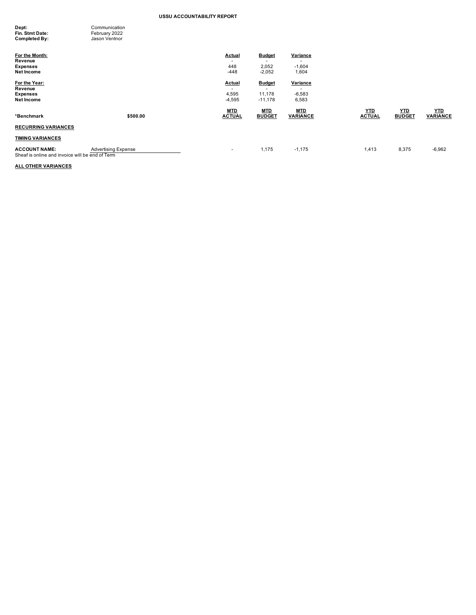| Dept:           | Communication |
|-----------------|---------------|
| Fin. Stmt Date: | February 2022 |
| Completed By:   | Jason Ventnor |

| For the Month:<br>Revenue<br><b>Expenses</b><br>Net Income              |                            | <b>Actual</b><br>$\overline{\phantom{a}}$<br>448<br>$-448$     | <b>Budget</b><br>2,052<br>$-2,052$   | Variance<br>$\overline{\phantom{a}}$<br>$-1,604$<br>1,604 |                             |                             |                               |
|-------------------------------------------------------------------------|----------------------------|----------------------------------------------------------------|--------------------------------------|-----------------------------------------------------------|-----------------------------|-----------------------------|-------------------------------|
| For the Year:<br>Revenue<br><b>Expenses</b><br>Net Income               |                            | <b>Actual</b><br>$\overline{\phantom{a}}$<br>4,595<br>$-4,595$ | <b>Budget</b><br>11,178<br>$-11,178$ | Variance<br>$-6,583$<br>6,583                             |                             |                             |                               |
| *Benchmark                                                              | \$500.00                   | <b>MTD</b><br><b>ACTUAL</b>                                    | <b>MTD</b><br><b>BUDGET</b>          | <b>MTD</b><br><b>VARIANCE</b>                             | <u>YTD</u><br><b>ACTUAL</b> | <u>YTD</u><br><b>BUDGET</b> | <u>YTD</u><br><b>VARIANCE</b> |
| <b>RECURRING VARIANCES</b>                                              |                            |                                                                |                                      |                                                           |                             |                             |                               |
| <b>TIMING VARIANCES</b>                                                 |                            |                                                                |                                      |                                                           |                             |                             |                               |
| <b>ACCOUNT NAME:</b><br>Sheaf is online and invoice will be end of Term | <b>Advertising Expense</b> | ۰                                                              | 1,175                                | $-1,175$                                                  | 1,413                       | 8,375                       | $-6,962$                      |

# **ALL OTHER VARIANCES**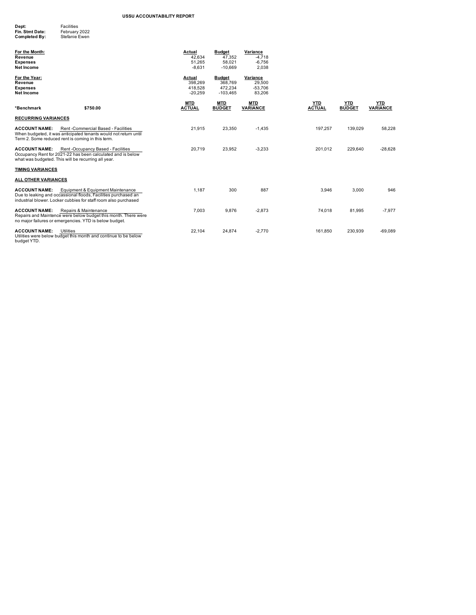| Dept:           | <b>Facilities</b> |
|-----------------|-------------------|
| Fin. Stmt Date: | February 2022     |
| Completed By:   | Stefanie Ewen     |

| For the Month:<br>Revenue<br><b>Expenses</b><br>Net Income                                                                                                                                     | Actual<br>42,634<br>51,265<br>$-8,631$    | <b>Budget</b><br>47,352<br>58.021<br>$-10,669$    | Variance<br>$-4,718$<br>$-6,756$<br>2,038 |                             |                      |                        |
|------------------------------------------------------------------------------------------------------------------------------------------------------------------------------------------------|-------------------------------------------|---------------------------------------------------|-------------------------------------------|-----------------------------|----------------------|------------------------|
| For the Year:<br>Revenue<br><b>Expenses</b><br><b>Net Income</b>                                                                                                                               | Actual<br>398.269<br>418,528<br>$-20.259$ | <b>Budget</b><br>368,769<br>472,234<br>$-103.465$ | Variance<br>29,500<br>$-53,706$<br>83,206 |                             |                      |                        |
| \$750.00<br>*Benchmark                                                                                                                                                                         | <b>MTD</b><br><b>ACTUAL</b>               | <b>MTD</b><br><b>BUDGET</b>                       | <b>MTD</b><br><b>VARIANCE</b>             | <b>YTD</b><br><b>ACTUAL</b> | YTD<br><b>BUDGET</b> | YTD<br><b>VARIANCE</b> |
| <b>RECURRING VARIANCES</b>                                                                                                                                                                     |                                           |                                                   |                                           |                             |                      |                        |
| Rent -Commercial Based - Facilities<br><b>ACCOUNT NAME:</b><br>When budgeted, it was anticipated tenants would not return until<br>Term 2. Some reduced rent is coming in this term.           | 21,915                                    | 23,350                                            | $-1.435$                                  | 197.257                     | 139.029              | 58.228                 |
| <b>ACCOUNT NAME:</b><br>Rent -Occupancy Based - Facilities<br>Occupancy Rent for 2021-22 has been calculated and is below<br>what was budgeted. This will be recurring all year.               | 20.719                                    | 23,952                                            | $-3,233$                                  | 201.012                     | 229.640              | $-28.628$              |
| <b>TIMING VARIANCES</b>                                                                                                                                                                        |                                           |                                                   |                                           |                             |                      |                        |
| ALL OTHER VARIANCES                                                                                                                                                                            |                                           |                                                   |                                           |                             |                      |                        |
| <b>ACCOUNT NAME:</b><br>Equipment & Equipment Maintenance<br>Due to leaking and occassional floods, Facilities purchased an<br>industrial blower. Locker cubbies for staff room also purchased | 1.187                                     | 300                                               | 887                                       | 3,946                       | 3,000                | 946                    |
| <b>ACCOUNT NAME:</b><br>Repairs & Maintenance<br>Repairs and Maintence were below budget this month. There were<br>no major failures or emergencies. YTD is below budget.                      | 7.003                                     | 9.876                                             | $-2.873$                                  | 74.018                      | 81.995               | $-7.977$               |
| <b>ACCOUNT NAME:</b><br>Utilities<br>Utilities were below budget this month and continue to be below                                                                                           | 22,104                                    | 24,874                                            | $-2.770$                                  | 161.850                     | 230,939              | $-69.089$              |

Utilities were below budget this month and continue to be below<br>budget YTD.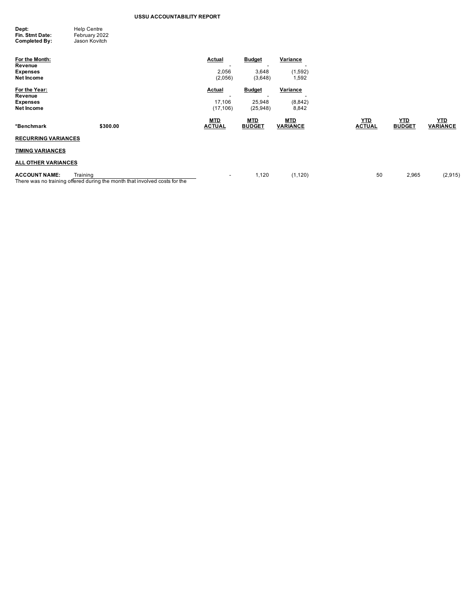| Dept:           | <b>Help Centre</b> |
|-----------------|--------------------|
| Fin. Stmt Date: | February 2022      |
| Completed By:   | Jason Kovitch      |

| For the Month:<br>Revenue            |                                                                            | Actual                   | <b>Budget</b><br>-                        | Variance                      |                             |                             |                               |
|--------------------------------------|----------------------------------------------------------------------------|--------------------------|-------------------------------------------|-------------------------------|-----------------------------|-----------------------------|-------------------------------|
| <b>Expenses</b><br>Net Income        |                                                                            | 2,056<br>(2,056)         | 3,648<br>(3,648)                          | (1,592)<br>1,592              |                             |                             |                               |
| For the Year:<br>Revenue             |                                                                            | <b>Actual</b><br>-       | <b>Budget</b><br>$\overline{\phantom{a}}$ | Variance                      |                             |                             |                               |
| <b>Expenses</b><br><b>Net Income</b> |                                                                            | 17,106<br>(17, 106)      | 25,948<br>(25, 948)                       | (8,842)<br>8,842              |                             |                             |                               |
| *Benchmark                           | \$300.00                                                                   | MTD<br><b>ACTUAL</b>     | <b>MTD</b><br><b>BUDGET</b>               | <b>MTD</b><br><b>VARIANCE</b> | <b>YTD</b><br><b>ACTUAL</b> | <b>YTD</b><br><b>BUDGET</b> | <b>YTD</b><br><b>VARIANCE</b> |
| <b>RECURRING VARIANCES</b>           |                                                                            |                          |                                           |                               |                             |                             |                               |
| <b>TIMING VARIANCES</b>              |                                                                            |                          |                                           |                               |                             |                             |                               |
| <b>ALL OTHER VARIANCES</b>           |                                                                            |                          |                                           |                               |                             |                             |                               |
| Training<br><b>ACCOUNT NAME:</b>     | There was no training offered during the month that involved costs for the | $\overline{\phantom{a}}$ | 1,120                                     | (1, 120)                      | 50                          | 2,965                       | (2,915)                       |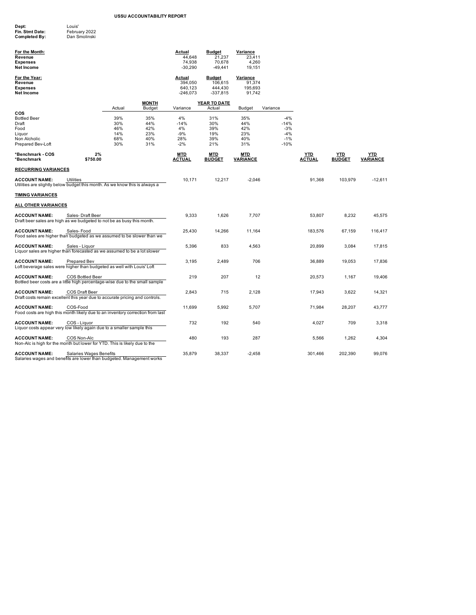| Dept:                | Louis'        |
|----------------------|---------------|
| Fin. Stmt Date:      | February 2022 |
| <b>Completed Bv:</b> | Dan Smolinski |

| For the Month:<br>Revenue<br><b>Expenses</b><br>Net Income                                             |                         |                                        |                                        | <b>Actual</b><br>44,648<br>74,938<br>$-30,290$    | <b>Budget</b><br>21,237<br>70,678<br>$-49,441$    | Variance<br>23,411<br>4,260<br>19,151   |                                                      |                      |                      |                        |
|--------------------------------------------------------------------------------------------------------|-------------------------|----------------------------------------|----------------------------------------|---------------------------------------------------|---------------------------------------------------|-----------------------------------------|------------------------------------------------------|----------------------|----------------------|------------------------|
| For the Year:<br>Revenue<br><b>Expenses</b><br>Net Income                                              |                         |                                        |                                        | <b>Actual</b><br>394,050<br>640,123<br>$-246,073$ | <b>Budget</b><br>106,615<br>444,430<br>$-337,815$ | Variance<br>91,374<br>195,693<br>91,742 |                                                      |                      |                      |                        |
|                                                                                                        |                         | Actual                                 | <b>MONTH</b><br>Budget                 | Variance                                          | YEAR TO DATE<br>Actual                            | Budget                                  | Variance                                             |                      |                      |                        |
| cos<br><b>Bottled Beer</b><br>Draft<br>Food<br>Liquor<br>Non Alcholic<br>Prepared Bev-Loft             |                         | 39%<br>30%<br>46%<br>14%<br>68%<br>30% | 35%<br>44%<br>42%<br>23%<br>40%<br>31% | 4%<br>$-14%$<br>4%<br>$-9%$<br>28%<br>$-2%$       | 31%<br>30%<br>39%<br>19%<br>39%<br>21%            | 35%<br>44%<br>42%<br>23%<br>40%<br>31%  | $-4%$<br>$-14%$<br>$-3%$<br>$-4%$<br>$-1%$<br>$-10%$ |                      |                      |                        |
| *Benchmark - COS<br>*Benchmark                                                                         | 2%<br>\$750.00          |                                        |                                        | MTD<br>ACTUAL                                     | MTD<br><b>BUDGET</b>                              | MTD<br><b>VARIANCE</b>                  |                                                      | YTD<br><b>ACTUAL</b> | YTD<br><b>BUDGET</b> | YTD<br><b>VARIANCE</b> |
| <b>RECURRING VARIANCES</b>                                                                             |                         |                                        |                                        |                                                   |                                                   |                                         |                                                      |                      |                      |                        |
| <b>ACCOUNT NAME:</b><br>Utilities are slightly below budget this month. As we know this is always a    | Utilities               |                                        |                                        | 10,171                                            | 12,217                                            | $-2,046$                                |                                                      | 91,368               | 103,979              | $-12,611$              |
| <b>TIMING VARIANCES</b>                                                                                |                         |                                        |                                        |                                                   |                                                   |                                         |                                                      |                      |                      |                        |
| <b>ALL OTHER VARIANCES</b>                                                                             |                         |                                        |                                        |                                                   |                                                   |                                         |                                                      |                      |                      |                        |
| <b>ACCOUNT NAME:</b><br>Draft beer sales are high as we budgeted to not be as busy this month.         | Sales-Draft Beer        |                                        |                                        | 9,333                                             | 1,626                                             | 7,707                                   |                                                      | 53,807               | 8,232                | 45,575                 |
| <b>ACCOUNT NAME:</b><br>Food sales are higher than budgeted as we assumed to be slower than we         | Sales-Food              |                                        |                                        | 25,430                                            | 14,266                                            | 11,164                                  |                                                      | 183,576              | 67,159               | 116,417                |
| <b>ACCOUNT NAME:</b><br>Liquor sales are higher than forecasted as we assumed to be a lot slower       | Sales - Liquor          |                                        |                                        | 5,396                                             | 833                                               | 4,563                                   |                                                      | 20,899               | 3,084                | 17,815                 |
| <b>ACCOUNT NAME:</b><br>Loft beverage sales were higher than budgeted as well with Louis' Loft         | <b>Prepared Bev</b>     |                                        |                                        | 3,195                                             | 2,489                                             | 706                                     |                                                      | 36,889               | 19,053               | 17,836                 |
| <b>ACCOUNT NAME:</b><br>Bottled beer costs are a little high percentage-wise due to the small sample   | COS Bottled Beer        |                                        |                                        | 219                                               | 207                                               | 12                                      |                                                      | 20,573               | 1,167                | 19,406                 |
| <b>ACCOUNT NAME:</b><br>Draft costs remain excellent this year due to accurate pricing and controls.   | COS Draft Beer          |                                        |                                        | 2,843                                             | 715                                               | 2,128                                   |                                                      | 17,943               | 3,622                | 14,321                 |
| <b>ACCOUNT NAME:</b><br>Food costs are high this month likely due to an inventory correction from last | COS-Food                |                                        |                                        | 11,699                                            | 5,992                                             | 5,707                                   |                                                      | 71,984               | 28,207               | 43,777                 |
| <b>ACCOUNT NAME:</b><br>Liquor costs appear very low likely again due to a smaller sample this         | COS - Liquor            |                                        |                                        | 732                                               | 192                                               | 540                                     |                                                      | 4,027                | 709                  | 3,318                  |
| <b>ACCOUNT NAME:</b><br>Non-Alc is high for the month but lower for YTD. This is likely due to the     | COS Non-Alc             |                                        |                                        | 480                                               | 193                                               | 287                                     |                                                      | 5,566                | 1,262                | 4,304                  |
| <b>ACCOUNT NAME:</b><br>Salaries wages and benefits are lower than budgeted. Management works          | Salaries Wages Benefits |                                        |                                        | 35,879                                            | 38,337                                            | $-2,458$                                |                                                      | 301,466              | 202,390              | 99,076                 |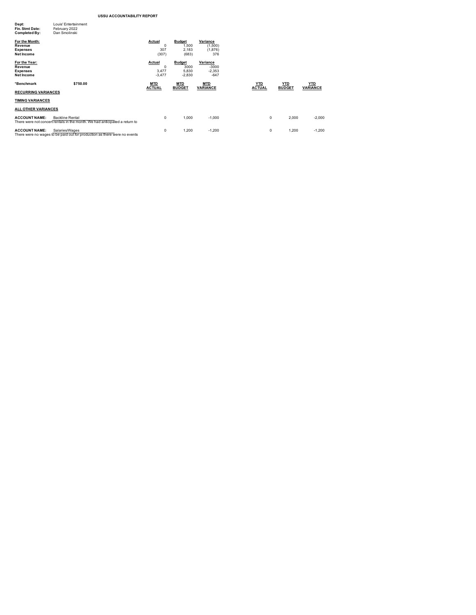| Dept:<br>Fin. Stmt Date:<br>Completed By:                         | Louis' Entertainment<br>February 2022<br>Dan Smolinski                                                |                                         |                                            |                                           |                             |                             |                               |
|-------------------------------------------------------------------|-------------------------------------------------------------------------------------------------------|-----------------------------------------|--------------------------------------------|-------------------------------------------|-----------------------------|-----------------------------|-------------------------------|
| For the Month:<br>Revenue<br><b>Expenses</b><br><b>Net Income</b> |                                                                                                       | Actual<br>$\mathbf 0$<br>307<br>(307)   | <b>Budget</b><br>1,500<br>2,183<br>(683)   | Variance<br>(1,500)<br>(1,876)<br>376     |                             |                             |                               |
| For the Year:<br>Revenue<br><b>Expenses</b><br><b>Net Income</b>  |                                                                                                       | Actual<br>$\Omega$<br>3,477<br>$-3,477$ | <b>Budget</b><br>3000<br>5,830<br>$-2,830$ | Variance<br>$-3000$<br>$-2,353$<br>$-647$ |                             |                             |                               |
| *Benchmark<br><b>RECURRING VARIANCES</b>                          | \$750.00                                                                                              | <b>MTD</b><br><b>ACTUAL</b>             | <b>MTD</b><br><b>BUDGET</b>                | <b>MTD</b><br><b>VARIANCE</b>             | <u>YTD</u><br><b>ACTUAL</b> | <u>YTD</u><br><b>BUDGET</b> | <u>YTD</u><br><b>VARIANCE</b> |
| <b>TIMING VARIANCES</b>                                           |                                                                                                       |                                         |                                            |                                           |                             |                             |                               |
| <b>ALL OTHER VARIANCES</b>                                        |                                                                                                       |                                         |                                            |                                           |                             |                             |                               |
| <b>ACCOUNT NAME:</b>                                              | <b>Backline Rental</b><br>There were not concert rentals in the month. We had anticipated a return to | $\mathbf 0$                             | 1.000                                      | $-1,000$                                  |                             | 2,000<br>0                  | $-2,000$                      |
| <b>ACCOUNT NAME:</b>                                              | Salaries/Wages<br>There were no wages to be paid out for production as there were no events           | $\mathbf 0$                             | 1,200                                      | $-1,200$                                  |                             | 1,200<br>0                  | $-1,200$                      |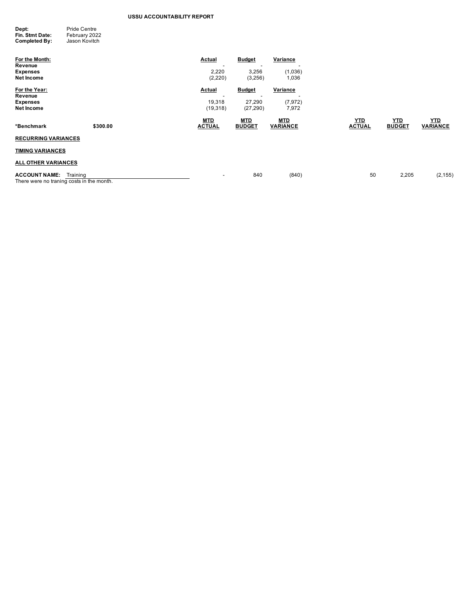| Dept:           | Pride Centre  |
|-----------------|---------------|
| Fin. Stmt Date: | February 2022 |
| Completed By:   | Jason Kovitch |

| For the Month:<br>Revenue<br><b>Expenses</b><br>Net Income                    |          | Actual<br>2,220<br>(2,220)               | <b>Budget</b><br>3,256<br>(3,256)                                | Variance<br>(1,036)<br>1,036  |                             |                             |                               |
|-------------------------------------------------------------------------------|----------|------------------------------------------|------------------------------------------------------------------|-------------------------------|-----------------------------|-----------------------------|-------------------------------|
| For the Year:<br>Revenue<br><b>Expenses</b><br><b>Net Income</b>              |          | <b>Actual</b><br>-<br>19,318<br>(19,318) | <b>Budget</b><br>$\overline{\phantom{a}}$<br>27,290<br>(27, 290) | Variance<br>(7, 972)<br>7,972 |                             |                             |                               |
| *Benchmark                                                                    | \$300.00 | <b>MTD</b><br><b>ACTUAL</b>              | <b>MTD</b><br><b>BUDGET</b>                                      | <b>MTD</b><br><b>VARIANCE</b> | <u>YTD</u><br><b>ACTUAL</b> | <u>YTD</u><br><b>BUDGET</b> | <b>YTD</b><br><b>VARIANCE</b> |
| <b>RECURRING VARIANCES</b>                                                    |          |                                          |                                                                  |                               |                             |                             |                               |
| <b>TIMING VARIANCES</b>                                                       |          |                                          |                                                                  |                               |                             |                             |                               |
| <b>ALL OTHER VARIANCES</b>                                                    |          |                                          |                                                                  |                               |                             |                             |                               |
| <b>ACCOUNT NAME:</b><br>Training<br>There were no traning costs in the month. |          | $\overline{\phantom{a}}$                 | 840                                                              | (840)                         | 50                          | 2,205                       | (2, 155)                      |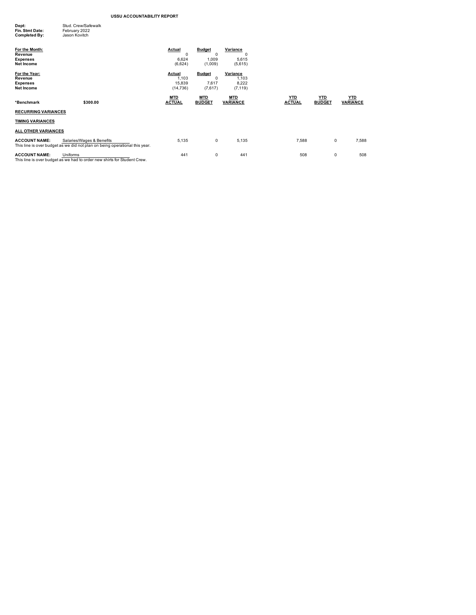| Stud, Crew/Safewalk |
|---------------------|
|                     |
|                     |
|                     |

| For the Month:<br>Revenue<br><b>Expenses</b><br>Net Income |                                                                                                          | Actual<br>0<br>6,624<br>(6,624)        | <b>Budget</b><br>$\Omega$<br>1,009<br>(1,009) | Variance<br>$\Omega$<br>5,615<br>(5,615) |                             |                             |                               |
|------------------------------------------------------------|----------------------------------------------------------------------------------------------------------|----------------------------------------|-----------------------------------------------|------------------------------------------|-----------------------------|-----------------------------|-------------------------------|
| For the Year:<br>Revenue<br><b>Expenses</b><br>Net Income  |                                                                                                          | Actual<br>1,103<br>15,839<br>(14, 736) | <b>Budget</b><br>0<br>7,617<br>(7,617)        | Variance<br>1,103<br>8,222<br>(7, 119)   |                             |                             |                               |
| *Benchmark                                                 | \$300.00                                                                                                 | MTD<br><b>ACTUAL</b>                   | MTD<br><b>BUDGET</b>                          | <u>MTD</u><br><b>VARIANCE</b>            | <u>YTD</u><br><b>ACTUAL</b> | <b>YTD</b><br><b>BUDGET</b> | <b>YTD</b><br><b>VARIANCE</b> |
| <b>RECURRING VARIANCES</b>                                 |                                                                                                          |                                        |                                               |                                          |                             |                             |                               |
| <b>TIMING VARIANCES</b>                                    |                                                                                                          |                                        |                                               |                                          |                             |                             |                               |
| <b>ALL OTHER VARIANCES</b>                                 |                                                                                                          |                                        |                                               |                                          |                             |                             |                               |
| <b>ACCOUNT NAME:</b>                                       | Salaries/Wages & Benefits<br>This line is over budget as we did not plan on being operational this year. | 5,135                                  | 0                                             | 5,135                                    | 7,588                       | 0                           | 7,588                         |
| <b>ACCOUNT NAME:</b>                                       | Uniforms<br>This line is over budget as we had to order new shirts for Student Crew.                     | 441                                    | 0                                             | 441                                      | 508                         | 0                           | 508                           |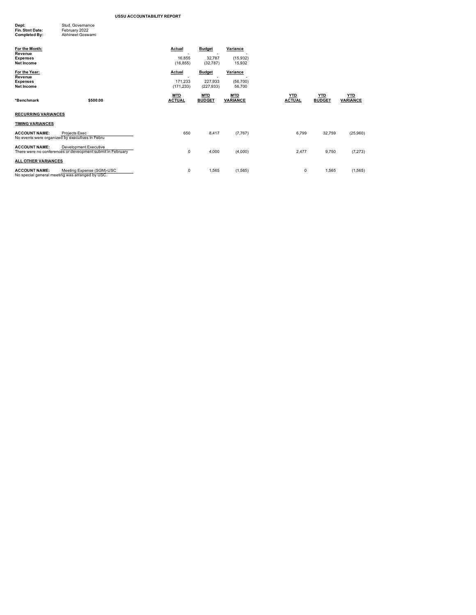| Dept:                | Stud, Governance |
|----------------------|------------------|
| Fin. Stmt Date:      | February 2022    |
| <b>Completed By:</b> | Abhineet Goswami |
|                      |                  |

| For the Month:<br>Revenue<br><b>Expenses</b><br><b>Net Income</b> |                                                                                     | Actual<br>16,855<br>(16, 855)   | <b>Budget</b><br>32,787<br>(32, 787)   | Variance<br>(15,932)<br>15,932 |                             |                             |                               |
|-------------------------------------------------------------------|-------------------------------------------------------------------------------------|---------------------------------|----------------------------------------|--------------------------------|-----------------------------|-----------------------------|-------------------------------|
| For the Year:<br>Revenue<br><b>Expenses</b><br>Net Income         |                                                                                     | Actual<br>171,233<br>(171, 233) | <b>Budget</b><br>227,933<br>(227, 933) | Variance<br>(56,700)<br>56,700 |                             |                             |                               |
| *Benchmark                                                        | \$500.00                                                                            | <b>MTD</b><br><b>ACTUAL</b>     | <b>MTD</b><br><b>BUDGET</b>            | <b>MTD</b><br><b>VARIANCE</b>  | <b>YTD</b><br><b>ACTUAL</b> | <b>YTD</b><br><b>BUDGET</b> | <b>YTD</b><br><b>VARIANCE</b> |
| <b>RECURRING VARIANCES</b>                                        |                                                                                     |                                 |                                        |                                |                             |                             |                               |
| <b>TIMING VARIANCES</b>                                           |                                                                                     |                                 |                                        |                                |                             |                             |                               |
| <b>ACCOUNT NAME:</b>                                              | Projects Exec<br>No events were organized by executives in Febru                    | 650                             | 8,417                                  | (7, 767)                       | 6,799                       | 32,759                      | (25,960)                      |
| <b>ACCOUNT NAME:</b>                                              | Development Executive<br>There were no conferences or deveopment submit in February | 0                               | 4,000                                  | (4,000)                        | 2,477                       | 9,750                       | (7, 273)                      |
| ALL OTHER VARIANCES                                               |                                                                                     |                                 |                                        |                                |                             |                             |                               |
| <b>ACCOUNT NAME:</b>                                              | Meeting Expense (SGM)-USC<br>No special general meeting was arranged by USC.        | 0                               | 1,565                                  | (1, 565)                       | 0                           | 1,565                       | (1, 565)                      |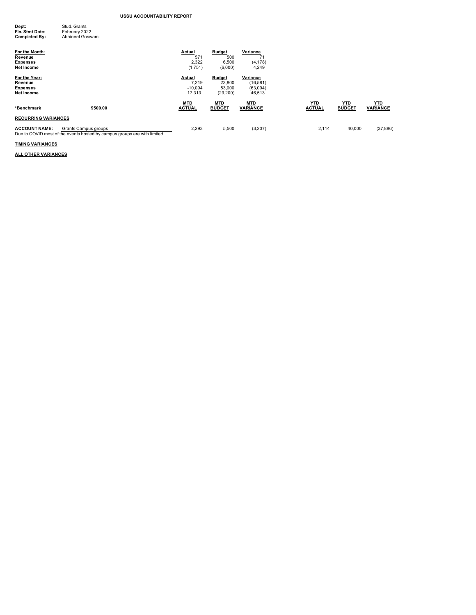| Dept:           | Stud, Grants     |
|-----------------|------------------|
| Fin. Stmt Date: | February 2022    |
| Completed By:   | Abhineet Goswami |

| For the Month:<br>Revenue<br><b>Expenses</b><br>Net Income |                                                                                                  | Actual<br>571<br>2,322<br>(1,751)      | <b>Budget</b><br>500<br>6,500<br>(6,000)       | Variance<br>71<br>(4, 178)<br>4,249         |                             |                             |                               |
|------------------------------------------------------------|--------------------------------------------------------------------------------------------------|----------------------------------------|------------------------------------------------|---------------------------------------------|-----------------------------|-----------------------------|-------------------------------|
| For the Year:<br>Revenue<br><b>Expenses</b><br>Net Income  |                                                                                                  | Actual<br>7.219<br>$-10.094$<br>17.313 | <b>Budget</b><br>23,800<br>53,000<br>(29, 200) | Variance<br>(16, 581)<br>(63,094)<br>46,513 |                             |                             |                               |
| *Benchmark                                                 | \$500.00                                                                                         | <u>MTD</u><br><b>ACTUAL</b>            | <u>MTD</u><br><b>BUDGET</b>                    | <b>MTD</b><br><b>VARIANCE</b>               | <u>YTD</u><br><b>ACTUAL</b> | <b>YTD</b><br><b>BUDGET</b> | <b>YTD</b><br><b>VARIANCE</b> |
| <b>RECURRING VARIANCES</b><br><b>ACCOUNT NAME:</b>         | Grants Campus groups<br>Due to COVID most of the events hosted by campus groups are with limited | 2,293                                  | 5,500                                          | (3,207)                                     | 2,114                       | 40,000                      | (37, 886)                     |

**TIMING VARIANCES**

**ALL OTHER VARIANCES**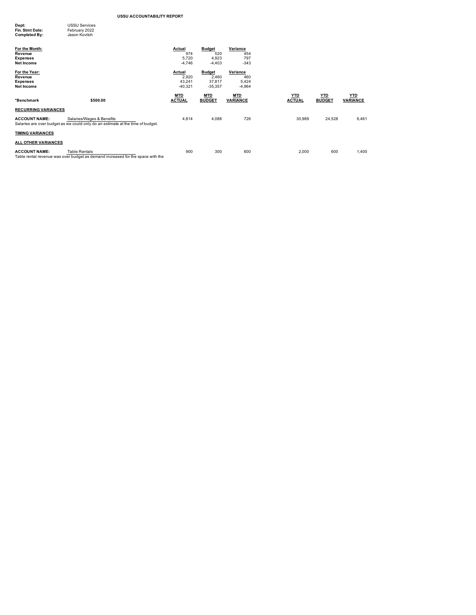| Dept:<br>Fin. Stmt Date:<br>Completed By:                         | <b>USSU Services</b><br>February 2022<br>Jason Kovitch                                                       |                                           |                                               |                                      |                             |                             |                               |
|-------------------------------------------------------------------|--------------------------------------------------------------------------------------------------------------|-------------------------------------------|-----------------------------------------------|--------------------------------------|-----------------------------|-----------------------------|-------------------------------|
| For the Month:<br>Revenue<br><b>Expenses</b><br><b>Net Income</b> |                                                                                                              | <b>Actual</b><br>974<br>5,720<br>$-4,746$ | <b>Budget</b><br>520<br>4,923<br>$-4,403$     | Variance<br>454<br>797<br>$-343$     |                             |                             |                               |
| For the Year:<br>Revenue<br><b>Expenses</b><br><b>Net Income</b>  |                                                                                                              | Actual<br>2,920<br>43,241<br>$-40,321$    | <b>Budget</b><br>2,460<br>37,817<br>$-35,357$ | Variance<br>460<br>5,424<br>$-4,964$ |                             |                             |                               |
|                                                                   |                                                                                                              |                                           |                                               |                                      |                             |                             |                               |
| *Benchmark                                                        | \$500.00                                                                                                     | <b>MTD</b><br><b>ACTUAL</b>               | <b>MTD</b><br><b>BUDGET</b>                   | <b>MTD</b><br><b>VARIANCE</b>        | <b>YTD</b><br><b>ACTUAL</b> | <b>YTD</b><br><b>BUDGET</b> | <b>YTD</b><br><b>VARIANCE</b> |
| <b>RECURRING VARIANCES</b>                                        |                                                                                                              |                                           |                                               |                                      |                             |                             |                               |
| <b>ACCOUNT NAME:</b>                                              | Salaries/Wages & Benefits<br>Salaries are over budget as we could only do an estimate at the time of budget. | 4,814                                     | 4,088                                         | 726                                  | 30,989                      | 24,528                      | 6,461                         |
| <b>TIMING VARIANCES</b>                                           |                                                                                                              |                                           |                                               |                                      |                             |                             |                               |
| ALL OTHER VARIANCES                                               |                                                                                                              |                                           |                                               |                                      |                             |                             |                               |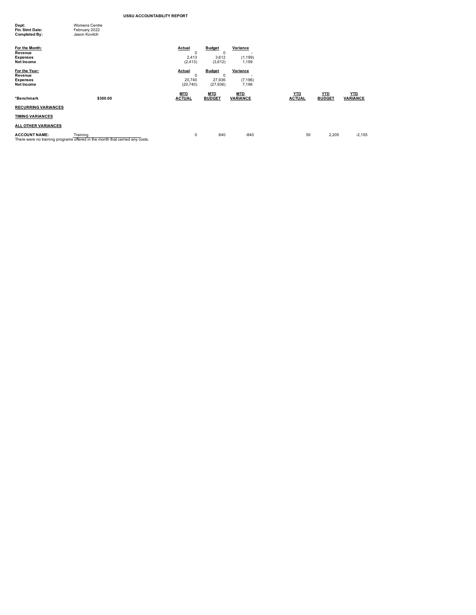| Dept:                | <b>Womens Centre</b> |  |
|----------------------|----------------------|--|
| Fin. Stmt Date:      | February 2022        |  |
| <b>Completed By:</b> | Jason Kovitch        |  |
|                      |                      |  |
| For the Month:       |                      |  |
|                      |                      |  |

| For the Month:<br>Revenue<br><b>Expenses</b><br>Net Income |                                                                                          | Actual<br>$\Omega$<br>2,413<br>(2, 413) | <b>Budget</b><br>$\Omega$<br>3,612<br>(3,612)      | Variance<br>۰.<br>(1, 199)<br>1,199 |                             |                             |                               |
|------------------------------------------------------------|------------------------------------------------------------------------------------------|-----------------------------------------|----------------------------------------------------|-------------------------------------|-----------------------------|-----------------------------|-------------------------------|
| For the Year:<br>Revenue<br><b>Expenses</b><br>Net Income  |                                                                                          | Actual<br>0<br>20,740<br>(20, 740)      | <b>Budget</b><br>$^{\circ}$<br>27,936<br>(27, 936) | Variance<br>(7, 196)<br>7,196       |                             |                             |                               |
| *Benchmark                                                 | \$300.00                                                                                 | <b>MTD</b><br><b>ACTUAL</b>             | <b>MTD</b><br><b>BUDGET</b>                        | <b>MTD</b><br><b>VARIANCE</b>       | <b>YTD</b><br><b>ACTUAL</b> | <b>YTD</b><br><b>BUDGET</b> | <b>YTD</b><br><b>VARIANCE</b> |
| <b>RECURRING VARIANCES</b>                                 |                                                                                          |                                         |                                                    |                                     |                             |                             |                               |
| <b>TIMING VARIANCES</b>                                    |                                                                                          |                                         |                                                    |                                     |                             |                             |                               |
| <b>ALL OTHER VARIANCES</b>                                 |                                                                                          |                                         |                                                    |                                     |                             |                             |                               |
| <b>ACCOUNT NAME:</b>                                       | Training<br>There were no training programs offered in the month that carried any costs. | 0                                       | 840                                                | $-840$                              | 50                          | 2,205                       | $-2,155$                      |